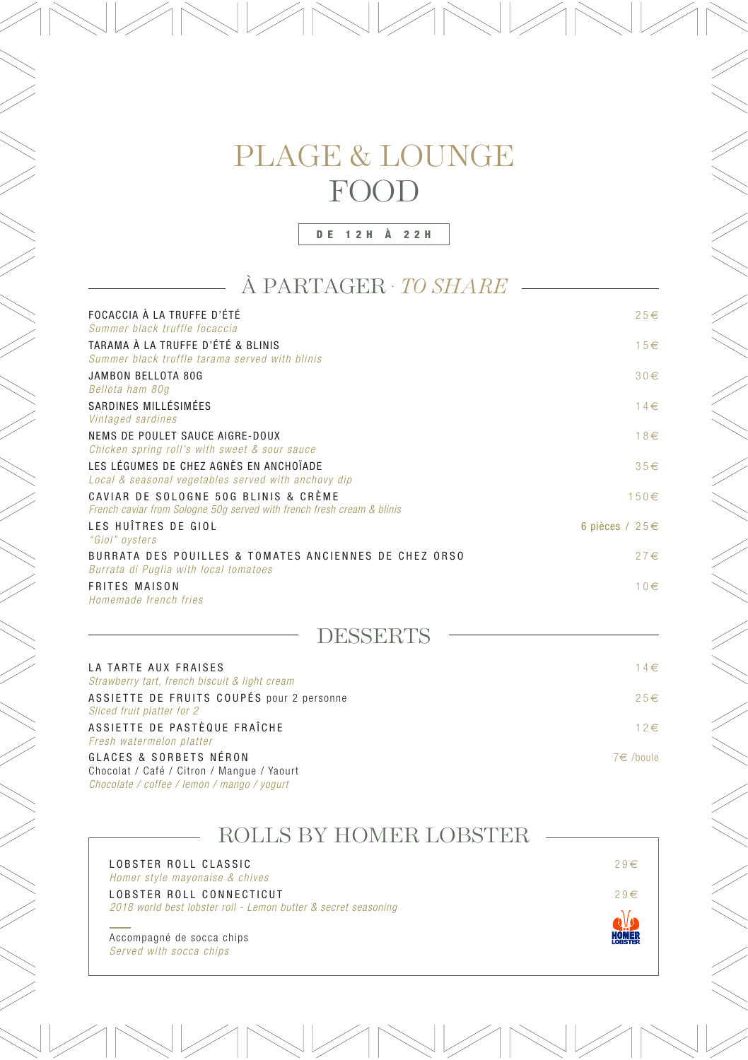DE 12H À 22H

#### À PARTAGER . *TO SHARE*

| FOCACCIA À LA TRUFFE D'ÉTÉ<br>Summer black truffle focaccia                                                    | $25 \in$       |
|----------------------------------------------------------------------------------------------------------------|----------------|
| TARAMA À LA TRUFFE D'ÉTÉ & BLINIS<br>Summer black truffle tarama served with blinis                            | $15 \in$       |
| JAMBON BELLOTA 80G<br>Bellota ham 80g                                                                          | $30 \in$       |
| SARDINES MILLÉSIMÉES<br>Vintaged sardines                                                                      | $14 \in$       |
| NEMS DE POULET SAUCE AIGRE-DOUX<br>Chicken spring roll's with sweet & sour sauce                               | $18 \in$       |
| LES LÉGUMES DE CHEZ AGNÈS EN ANCHOÏADE<br>Local & seasonal vegetables served with anchovy dip                  | $35 \in$       |
| CAVIAR DE SOLOGNE 50G BLINIS & CRÈME<br>French caviar from Sologne 50g served with french fresh cream & blinis | $150 \in$      |
| LES HUÎTRES DE GIOL<br>"Giol" oysters                                                                          | 6 pièces / 25€ |
| BURRATA DES POUILLES & TOMATES ANCIENNES DE CHEZ ORSO<br>Burrata di Puglia with local tomatoes                 | $27 \in$       |
| <b>FRITES MAISON</b><br>Homemade french fries                                                                  | $10 \in$       |
| <b>DESSERTS</b>                                                                                                |                |
| LA TARTE AUX FRAISES<br>Strawberry tart, french biscuit & light cream                                          | $14 \in$       |
| ASSIETTE DE FRUITS COUPÉS pour 2 personne<br>Sliced fruit platter for 2                                        | $25 \in$       |
| ASSIETTE DE PASTÈQUE FRAÎCHE<br>Fresh watermelon platter                                                       | $12 \in$       |
| GLACES & SORBETS NÉRON<br>Chocolat / Café / Citron / Mangue / Yaourt                                           | 7€ /boule      |

Chocolat / Café / Citron / Mangue / Yaourt *Chocolate / coffee / lemon / mango / yogurt*

ROLLS BY HOMER LOBSTER LOBSTER ROLL CLASSIC  $29 \in$ *Homer style mayonaise & chives* LOBSTER ROLL CONNECTICUT 29€ *2018 world best lobster roll - Lemon butter & secret seasoning*  $\bullet$ Accompagné de socca chips **HOMER** *Served with socca chips*